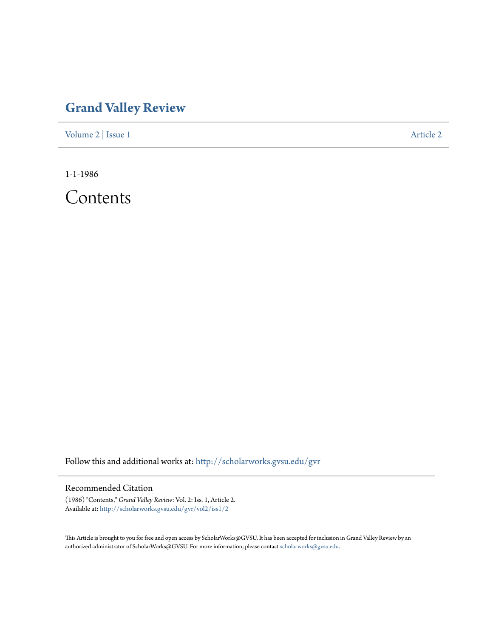## **[Grand Valley Review](http://scholarworks.gvsu.edu/gvr?utm_source=scholarworks.gvsu.edu%2Fgvr%2Fvol2%2Fiss1%2F2&utm_medium=PDF&utm_campaign=PDFCoverPages)**

[Volume 2](http://scholarworks.gvsu.edu/gvr/vol2?utm_source=scholarworks.gvsu.edu%2Fgvr%2Fvol2%2Fiss1%2F2&utm_medium=PDF&utm_campaign=PDFCoverPages) | [Issue 1](http://scholarworks.gvsu.edu/gvr/vol2/iss1?utm_source=scholarworks.gvsu.edu%2Fgvr%2Fvol2%2Fiss1%2F2&utm_medium=PDF&utm_campaign=PDFCoverPages) [Article 2](http://scholarworks.gvsu.edu/gvr/vol2/iss1/2?utm_source=scholarworks.gvsu.edu%2Fgvr%2Fvol2%2Fiss1%2F2&utm_medium=PDF&utm_campaign=PDFCoverPages)

1-1-1986

Contents

Follow this and additional works at: [http://scholarworks.gvsu.edu/gvr](http://scholarworks.gvsu.edu/gvr?utm_source=scholarworks.gvsu.edu%2Fgvr%2Fvol2%2Fiss1%2F2&utm_medium=PDF&utm_campaign=PDFCoverPages)

## Recommended Citation

(1986) "Contents," *Grand Valley Review*: Vol. 2: Iss. 1, Article 2. Available at: [http://scholarworks.gvsu.edu/gvr/vol2/iss1/2](http://scholarworks.gvsu.edu/gvr/vol2/iss1/2?utm_source=scholarworks.gvsu.edu%2Fgvr%2Fvol2%2Fiss1%2F2&utm_medium=PDF&utm_campaign=PDFCoverPages)

This Article is brought to you for free and open access by ScholarWorks@GVSU. It has been accepted for inclusion in Grand Valley Review by an authorized administrator of ScholarWorks@GVSU. For more information, please contact [scholarworks@gvsu.edu.](mailto:scholarworks@gvsu.edu)